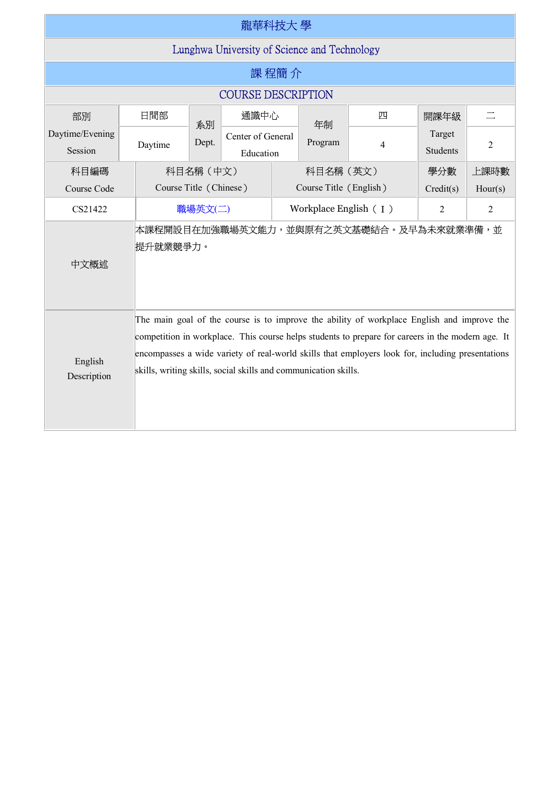| 龍華科技大 學                                      |                                                                                                                                                                                                                                                                                                                                                                        |                        |                                |                        |         |                                         |                           |          |  |  |  |
|----------------------------------------------|------------------------------------------------------------------------------------------------------------------------------------------------------------------------------------------------------------------------------------------------------------------------------------------------------------------------------------------------------------------------|------------------------|--------------------------------|------------------------|---------|-----------------------------------------|---------------------------|----------|--|--|--|
| Lunghwa University of Science and Technology |                                                                                                                                                                                                                                                                                                                                                                        |                        |                                |                        |         |                                         |                           |          |  |  |  |
| 課程簡介                                         |                                                                                                                                                                                                                                                                                                                                                                        |                        |                                |                        |         |                                         |                           |          |  |  |  |
| <b>COURSE DESCRIPTION</b>                    |                                                                                                                                                                                                                                                                                                                                                                        |                        |                                |                        |         |                                         |                           |          |  |  |  |
| 部別                                           | 日間部                                                                                                                                                                                                                                                                                                                                                                    | 系別                     | 通識中心                           |                        | 年制      | 四                                       | 開課年級                      | $\equiv$ |  |  |  |
| Daytime/Evening<br>Session                   | Daytime                                                                                                                                                                                                                                                                                                                                                                | Dept.                  | Center of General<br>Education |                        | Program | 4                                       | Target<br><b>Students</b> | 2        |  |  |  |
| 科目編碼                                         |                                                                                                                                                                                                                                                                                                                                                                        | 科目名稱 (中文)              |                                | 科目名稱(英文)               |         |                                         | 學分數                       | 上課時數     |  |  |  |
| Course Code                                  |                                                                                                                                                                                                                                                                                                                                                                        | Course Title (Chinese) |                                | Course Title (English) |         |                                         | Credit(s)                 | Hour(s)  |  |  |  |
| CS21422                                      |                                                                                                                                                                                                                                                                                                                                                                        | 職場英文(二)                |                                | Workplace English (I)  |         |                                         | $\overline{2}$            | 2        |  |  |  |
| 中文概述                                         | 提升就業競爭力。                                                                                                                                                                                                                                                                                                                                                               |                        |                                |                        |         | 本課程開設目在加強職場英文能力,並與原有之英文基礎結合。及早為未來就業準備,並 |                           |          |  |  |  |
| English<br>Description                       | The main goal of the course is to improve the ability of workplace English and improve the<br>competition in workplace. This course helps students to prepare for careers in the modern age. It<br>encompasses a wide variety of real-world skills that employers look for, including presentations<br>skills, writing skills, social skills and communication skills. |                        |                                |                        |         |                                         |                           |          |  |  |  |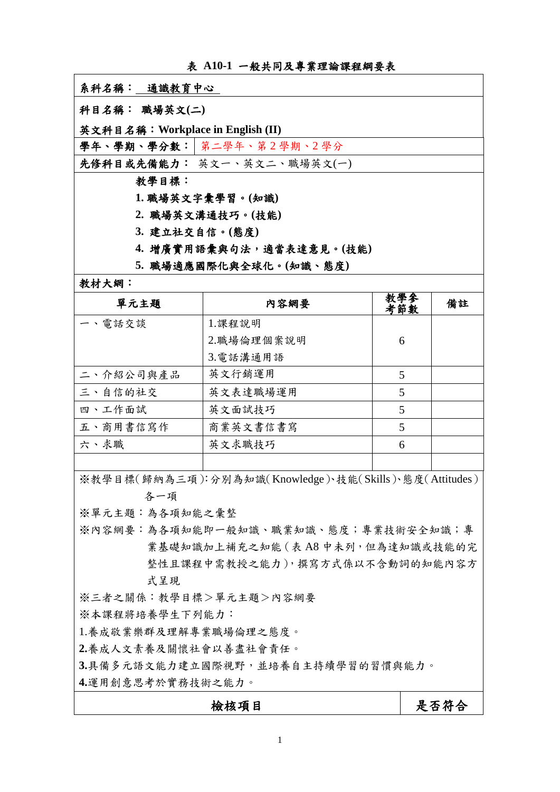表 **A10-1** 一般共同及專業理論課程綱要表

系科名稱:通識教育中心

科目名稱: 職場英文**(**二**)** 

英文科目名稱:**Workplace in English (II)** 

學年、學期、學分數: 第二學年、第2學期、2學分

先修科目或先備能力: 英文一、英文二、職場英文(一)

教學目標:

**1.** 職場英文字彙學習Ƕ**(**知識**)** 

- **2.** 職場英文溝通技巧Ƕ**(**技能**)**
- **3.** 建立社交自信Ƕ**(**態度**)**
- 4. 增廣實用語彙與句法,適當表達意見。(技能)

5. 職場適應國際化與全球化。(知識、態度)

教材大網:

| 單元主題      | 内容網要       | 教學參<br>考節數 | 備註 |
|-----------|------------|------------|----|
| 一、電話交談    | 1.課程說明     |            |    |
|           | 2.職場倫理個案說明 | 6          |    |
|           | 3.電話溝通用語   |            |    |
| 二、介紹公司與產品 | 英文行銷運用     | 5          |    |
| 三、自信的社交   | 英文表達職場運用   | 5          |    |
| 四、工作面試    | 英文面試技巧     | 5          |    |
| 五、商用書信寫作  | 商業英文書信書寫   | 5          |    |
| 六、求職      | 英文求職技巧     | 6          |    |
|           |            |            |    |

※教學目標(歸納為三項):分別為知識(Knowledge)、技能(Skills)、態度(Attitudes) 各一項

※單元主題:為各知能之彙整

※內容網要:為各項知能即一般知識、職業知識、態度;專業技術安全知識;專 業基礎知識加上補充之知能 (表 A8 中未列, 但為達知識或技能的完 整性且課程中需教授之能力),撰寫方式係以不含動詞的知能內容方 式呈現

※三者之關係:教學目標>單元主題>內容網要

※本課程將培養學生下列能力:

1.養成敬業樂群及理解專業職場倫理之態度。

**2.**養成人文素養及關懷社會以善盡社會責任Ƕ

3.具備多元語文能力建立國際視野,並培養自主持續學習的習慣與能力。

**4.**運用創意思考於實務技術之能力Ƕ

檢核項目 2000年 - 2000年 - 最否符合